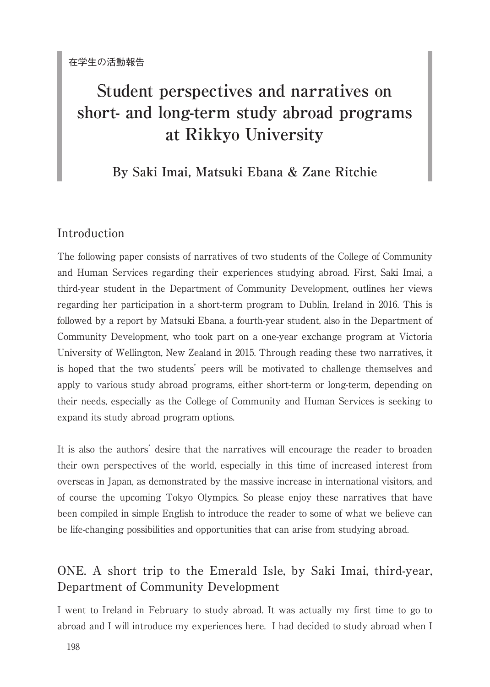# **Student perspectives and narratives on short- and long-term study abroad programs at Rikkyo University**

## **By Saki Imai, Matsuki Ebana & Zane Ritchie**

### Introduction

The following paper consists of narratives of two students of the College of Community and Human Services regarding their experiences studying abroad. First, Saki Imai, a third-year student in the Department of Community Development, outlines her views regarding her participation in a short-term program to Dublin, Ireland in 2016. This is followed by a report by Matsuki Ebana, a fourth-year student, also in the Department of Community Development, who took part on a one-year exchange program at Victoria University of Wellington, New Zealand in 2015. Through reading these two narratives, it is hoped that the two students' peers will be motivated to challenge themselves and apply to various study abroad programs, either short-term or long-term, depending on their needs, especially as the College of Community and Human Services is seeking to expand its study abroad program options.

It is also the authors' desire that the narratives will encourage the reader to broaden their own perspectives of the world, especially in this time of increased interest from overseas in Japan, as demonstrated by the massive increase in international visitors, and of course the upcoming Tokyo Olympics. So please enjoy these narratives that have been compiled in simple English to introduce the reader to some of what we believe can be life-changing possibilities and opportunities that can arise from studying abroad.

### ONE. A short trip to the Emerald Isle, by Saki Imai, third-year, Department of Community Development

I went to Ireland in February to study abroad. It was actually my first time to go to abroad and I will introduce my experiences here. I had decided to study abroad when I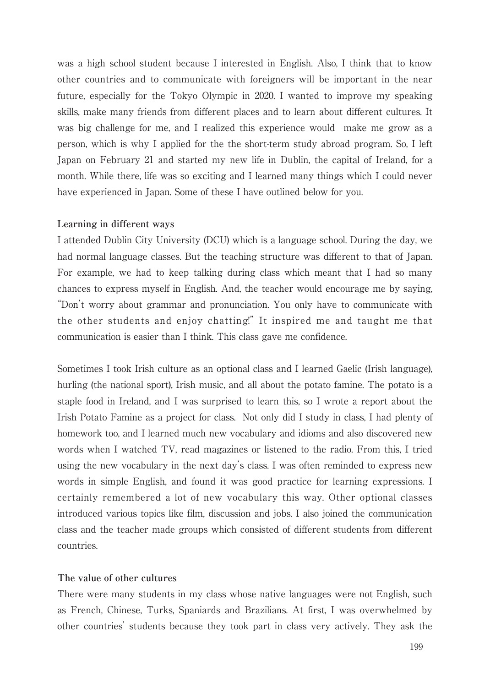was a high school student because I interested in English. Also, I think that to know other countries and to communicate with foreigners will be important in the near future, especially for the Tokyo Olympic in 2020. I wanted to improve my speaking skills, make many friends from different places and to learn about different cultures. It was big challenge for me, and I realized this experience would make me grow as a person, which is why I applied for the the short-term study abroad program. So, I left Japan on February 21 and started my new life in Dublin, the capital of Ireland, for a month. While there, life was so exciting and I learned many things which I could never have experienced in Japan. Some of these I have outlined below for you.

#### **Learning in different ways**

I attended Dublin City University (DCU) which is a language school. During the day, we had normal language classes. But the teaching structure was different to that of Japan. For example, we had to keep talking during class which meant that I had so many chances to express myself in English. And, the teacher would encourage me by saying, "Don't worry about grammar and pronunciation. You only have to communicate with the other students and enjoy chatting!" It inspired me and taught me that communication is easier than I think. This class gave me confidence.

Sometimes I took Irish culture as an optional class and I learned Gaelic (Irish language), hurling (the national sport), Irish music, and all about the potato famine. The potato is a staple food in Ireland, and I was surprised to learn this, so I wrote a report about the Irish Potato Famine as a project for class. Not only did I study in class, I had plenty of homework too, and I learned much new vocabulary and idioms and also discovered new words when I watched TV, read magazines or listened to the radio. From this, I tried using the new vocabulary in the next day's class. I was often reminded to express new words in simple English, and found it was good practice for learning expressions. I certainly remembered a lot of new vocabulary this way. Other optional classes introduced various topics like film, discussion and jobs. I also joined the communication class and the teacher made groups which consisted of different students from different countries.

### **The value of other cultures**

There were many students in my class whose native languages were not English, such as French, Chinese, Turks, Spaniards and Brazilians. At first, I was overwhelmed by other countries' students because they took part in class very actively. They ask the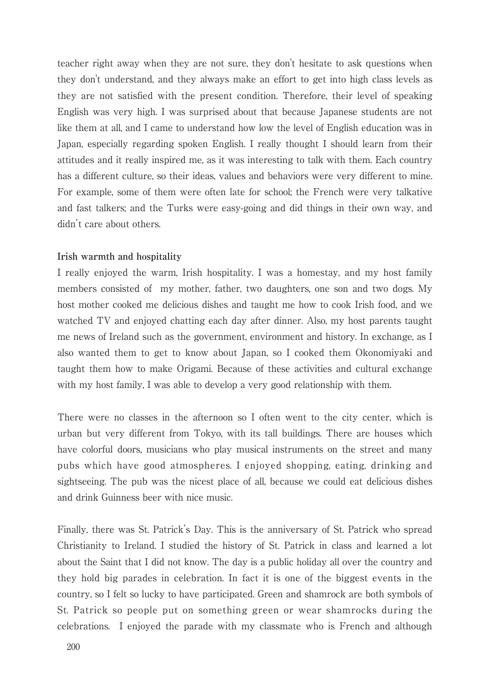teacher right away when they are not sure, they don't hesitate to ask questions when they don't understand, and they always make an effort to get into high class levels as they are not satisfied with the present condition. Therefore, their level of speaking English was very high. I was surprised about that because Japanese students are not like them at all, and I came to understand how low the level of English education was in Japan, especially regarding spoken English. I really thought I should learn from their attitudes and it really inspired me, as it was interesting to talk with them. Each country has a different culture, so their ideas, values and behaviors were very different to mine. For example, some of them were often late for school; the French were very talkative and fast talkers; and the Turks were easy-going and did things in their own way, and didn't care about others.

### **Irish warmth and hospitality**

I really enjoyed the warm, Irish hospitality. I was a homestay, and my host family members consisted of my mother, father, two daughters, one son and two dogs. My host mother cooked me delicious dishes and taught me how to cook Irish food, and we watched TV and enjoyed chatting each day after dinner. Also, my host parents taught me news of Ireland such as the government, environment and history. In exchange, as I also wanted them to get to know about Japan, so I cooked them Okonomiyaki and taught them how to make Origami. Because of these activities and cultural exchange with my host family, I was able to develop a very good relationship with them.

There were no classes in the afternoon so I often went to the city center, which is urban but very different from Tokyo, with its tall buildings. There are houses which have colorful doors, musicians who play musical instruments on the street and many pubs which have good atmospheres. I enjoyed shopping, eating, drinking and sightseeing. The pub was the nicest place of all, because we could eat delicious dishes and drink Guinness beer with nice music.

Finally, there was St. Patrick's Day. This is the anniversary of St. Patrick who spread Christianity to Ireland. I studied the history of St. Patrick in class and learned a lot about the Saint that I did not know. The day is a public holiday all over the country and they hold big parades in celebration. In fact it is one of the biggest events in the country, so I felt so lucky to have participated. Green and shamrock are both symbols of St. Patrick so people put on something green or wear shamrocks during the celebrations. I enjoyed the parade with my classmate who is French and although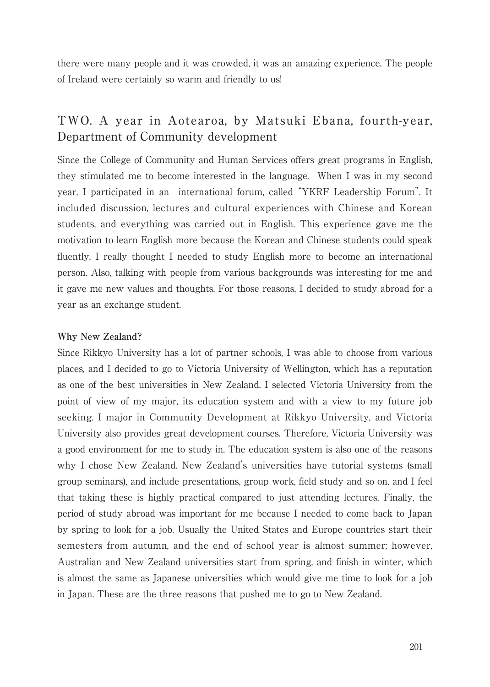there were many people and it was crowded, it was an amazing experience. The people of Ireland were certainly so warm and friendly to us!

### TWO. A year in Aotearoa, by Matsuki Ebana, fourth-year, Department of Community development

Since the College of Community and Human Services offers great programs in English, they stimulated me to become interested in the language. When I was in my second year, I participated in an international forum, called "YKRF Leadership Forum". It included discussion, lectures and cultural experiences with Chinese and Korean students, and everything was carried out in English. This experience gave me the motivation to learn English more because the Korean and Chinese students could speak fluently. I really thought I needed to study English more to become an international person. Also, talking with people from various backgrounds was interesting for me and it gave me new values and thoughts. For those reasons, I decided to study abroad for a year as an exchange student.

### **Why New Zealand?**

Since Rikkyo University has a lot of partner schools, I was able to choose from various places, and I decided to go to Victoria University of Wellington, which has a reputation as one of the best universities in New Zealand. I selected Victoria University from the point of view of my major, its education system and with a view to my future job seeking. I major in Community Development at Rikkyo University, and Victoria University also provides great development courses. Therefore, Victoria University was a good environment for me to study in. The education system is also one of the reasons why I chose New Zealand. New Zealand's universities have tutorial systems (small group seminars), and include presentations, group work, field study and so on, and I feel that taking these is highly practical compared to just attending lectures. Finally, the period of study abroad was important for me because I needed to come back to Japan by spring to look for a job. Usually the United States and Europe countries start their semesters from autumn, and the end of school year is almost summer; however, Australian and New Zealand universities start from spring, and finish in winter, which is almost the same as Japanese universities which would give me time to look for a job in Japan. These are the three reasons that pushed me to go to New Zealand.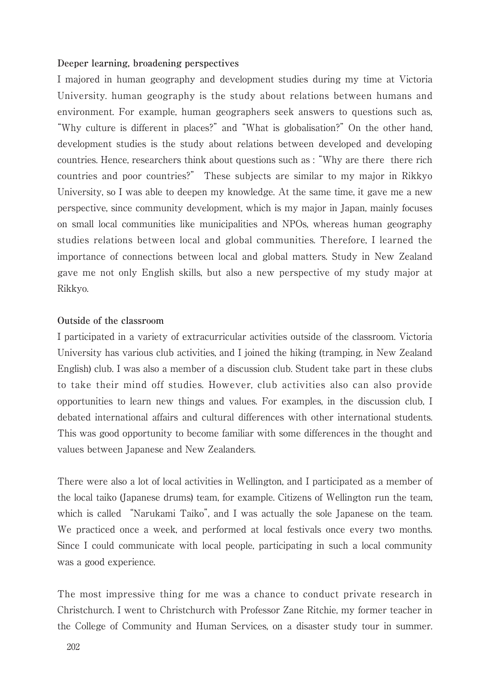#### **Deeper learning, broadening perspectives**

I majored in human geography and development studies during my time at Victoria University. human geography is the study about relations between humans and environment. For example, human geographers seek answers to questions such as, "Why culture is different in places?" and "What is globalisation?" On the other hand, development studies is the study about relations between developed and developing countries. Hence, researchers think about questions such as :"Why are there there rich countries and poor countries?" These subjects are similar to my major in Rikkyo University, so I was able to deepen my knowledge. At the same time, it gave me a new perspective, since community development, which is my major in Japan, mainly focuses on small local communities like municipalities and NPOs, whereas human geography studies relations between local and global communities. Therefore, I learned the importance of connections between local and global matters. Study in New Zealand gave me not only English skills, but also a new perspective of my study major at Rikkyo.

### **Outside of the classroom**

I participated in a variety of extracurricular activities outside of the classroom. Victoria University has various club activities, and I joined the hiking (tramping, in New Zealand English) club. I was also a member of a discussion club. Student take part in these clubs to take their mind off studies. However, club activities also can also provide opportunities to learn new things and values. For examples, in the discussion club, I debated international affairs and cultural differences with other international students. This was good opportunity to become familiar with some differences in the thought and values between Japanese and New Zealanders.

There were also a lot of local activities in Wellington, and I participated as a member of the local taiko (Japanese drums) team, for example. Citizens of Wellington run the team, which is called "Narukami Taiko", and I was actually the sole Japanese on the team. We practiced once a week, and performed at local festivals once every two months. Since I could communicate with local people, participating in such a local community was a good experience.

The most impressive thing for me was a chance to conduct private research in Christchurch. I went to Christchurch with Professor Zane Ritchie, my former teacher in the College of Community and Human Services, on a disaster study tour in summer.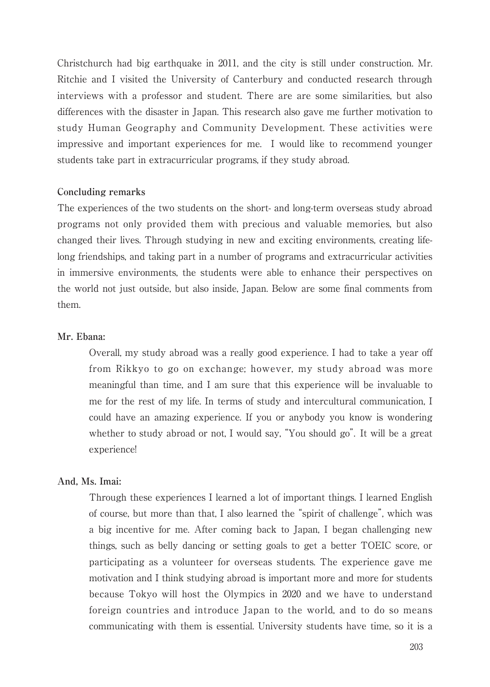Christchurch had big earthquake in 2011, and the city is still under construction. Mr. Ritchie and I visited the University of Canterbury and conducted research through interviews with a professor and student. There are are some similarities, but also differences with the disaster in Japan. This research also gave me further motivation to study Human Geography and Community Development. These activities were impressive and important experiences for me. I would like to recommend younger students take part in extracurricular programs, if they study abroad.

#### **Concluding remarks**

The experiences of the two students on the short- and long-term overseas study abroad programs not only provided them with precious and valuable memories, but also changed their lives. Through studying in new and exciting environments, creating lifelong friendships, and taking part in a number of programs and extracurricular activities in immersive environments, the students were able to enhance their perspectives on the world not just outside, but also inside, Japan. Below are some final comments from them.

### **Mr. Ebana:**

Overall, my study abroad was a really good experience. I had to take a year off from Rikkyo to go on exchange; however, my study abroad was more meaningful than time, and I am sure that this experience will be invaluable to me for the rest of my life. In terms of study and intercultural communication, I could have an amazing experience. If you or anybody you know is wondering whether to study abroad or not, I would say, "You should go". It will be a great experience!

### **And, Ms. Imai:**

Through these experiences I learned a lot of important things. I learned English of course, but more than that, I also learned the "spirit of challenge", which was a big incentive for me. After coming back to Japan, I began challenging new things, such as belly dancing or setting goals to get a better TOEIC score, or participating as a volunteer for overseas students. The experience gave me motivation and I think studying abroad is important more and more for students because Tokyo will host the Olympics in 2020 and we have to understand foreign countries and introduce Japan to the world, and to do so means communicating with them is essential. University students have time, so it is a